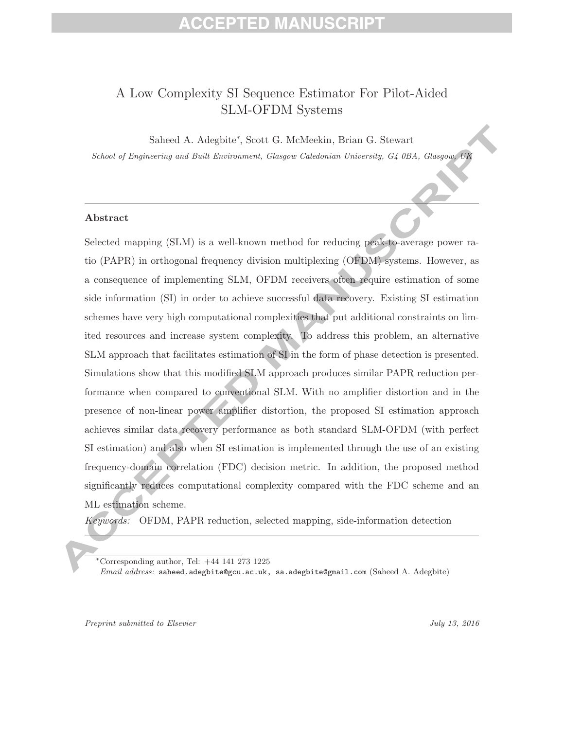# EPTED MANUS

### A Low Complexity SI Sequence Estimator For Pilot-Aided SLM-OFDM Systems

Saheed A. Adegbite∗ , Scott G. McMeekin, Brian G. Stewart

*School of Engineering and Built Environment, Glasgow Caledonian University, G4 0BA, Glasgow, UK*

### **Abstract**

Selected mapping (SLM) is a well-known method for reducing peak-to-average power ratio (PAPR) in orthogonal frequency division multiplexing (OFDM) systems. However, as a consequence of implementing SLM, OFDM receivers often require estimation of some side information (SI) in order to achieve successful data recovery. Existing SI estimation schemes have very high computational complexities that put additional constraints on limited resources and increase system complexity. To address this problem, an alternative SLM approach that facilitates estimation of SI in the form of phase detection is presented. Simulations show that this modified SLM approach produces similar PAPR reduction performance when compared to conventional SLM. With no amplifier distortion and in the presence of non-linear power amplifier distortion, the proposed SI estimation approach achieves similar data recovery performance as both standard SLM-OFDM (with perfect SI estimation) and also when SI estimation is implemented through the use of an existing frequency-domain correlation (FDC) decision metric. In addition, the proposed method significantly reduces computational complexity compared with the FDC scheme and an ML estimation scheme.

*Keywords:* OFDM, PAPR reduction, selected mapping, side-information detection

*Preprint submitted to Elsevier July 13, 2016*

<sup>∗</sup>Corresponding author, Tel: +44 141 273 1225

*Email address:* saheed.adegbite@gcu.ac.uk, sa.adegbite@gmail.com (Saheed A. Adegbite)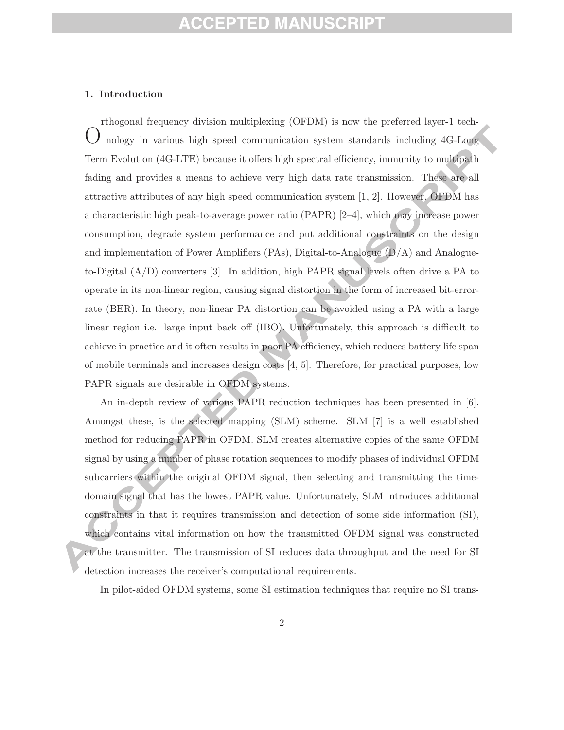### **1. Introduction**

O rthogonal frequency division multiplexing (OFDM) is now the preferred layer-1 technology in various high speed communication system standards including 4G-Long Term Evolution (4G-LTE) because it offers high spectral efficiency, immunity to multipath fading and provides a means to achieve very high data rate transmission. These are all attractive attributes of any high speed communication system [1, 2]. However, OFDM has a characteristic high peak-to-average power ratio (PAPR) [2–4], which may increase power consumption, degrade system performance and put additional constraints on the design and implementation of Power Amplifiers (PAs), Digital-to-Analogue  $(D/A)$  and Analogueto-Digital (A/D) converters [3]. In addition, high PAPR signal levels often drive a PA to operate in its non-linear region, causing signal distortion in the form of increased bit-errorrate (BER). In theory, non-linear PA distortion can be avoided using a PA with a large linear region i.e. large input back off (IBO). Unfortunately, this approach is difficult to achieve in practice and it often results in poor PA efficiency, which reduces battery life span of mobile terminals and increases design costs [4, 5]. Therefore, for practical purposes, low PAPR signals are desirable in OFDM systems.

An in-depth review of various PAPR reduction techniques has been presented in [6]. Amongst these, is the selected mapping (SLM) scheme. SLM [7] is a well established method for reducing PAPR in OFDM. SLM creates alternative copies of the same OFDM signal by using a number of phase rotation sequences to modify phases of individual OFDM subcarriers within the original OFDM signal, then selecting and transmitting the timedomain signal that has the lowest PAPR value. Unfortunately, SLM introduces additional constraints in that it requires transmission and detection of some side information (SI), which contains vital information on how the transmitted OFDM signal was constructed at the transmitter. The transmission of SI reduces data throughput and the need for SI detection increases the receiver's computational requirements.

In pilot-aided OFDM systems, some SI estimation techniques that require no SI trans-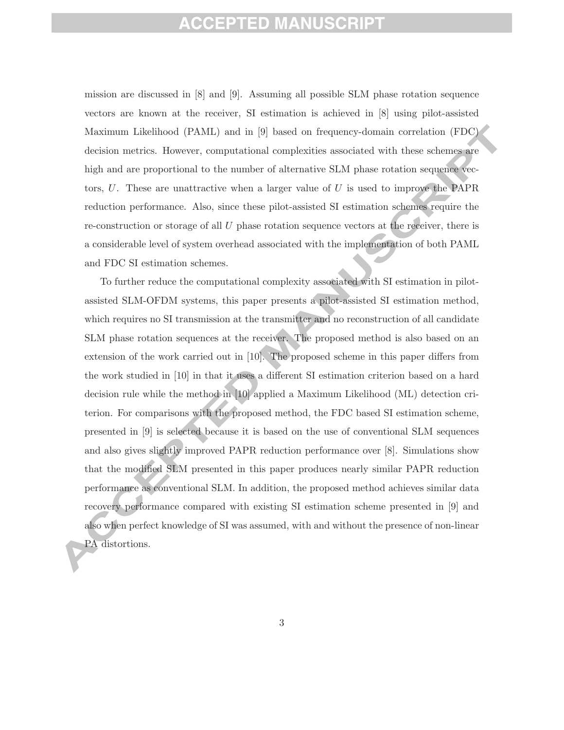mission are discussed in [8] and [9]. Assuming all possible SLM phase rotation sequence vectors are known at the receiver, SI estimation is achieved in [8] using pilot-assisted Maximum Likelihood (PAML) and in [9] based on frequency-domain correlation (FDC) decision metrics. However, computational complexities associated with these schemes are high and are proportional to the number of alternative SLM phase rotation sequence vectors,  $U$ . These are unattractive when a larger value of  $U$  is used to improve the PAPR reduction performance. Also, since these pilot-assisted SI estimation schemes require the re-construction or storage of all  $U$  phase rotation sequence vectors at the receiver, there is a considerable level of system overhead associated with the implementation of both PAML and FDC SI estimation schemes.

To further reduce the computational complexity associated with SI estimation in pilotassisted SLM-OFDM systems, this paper presents a pilot-assisted SI estimation method, which requires no SI transmission at the transmitter and no reconstruction of all candidate SLM phase rotation sequences at the receiver. The proposed method is also based on an extension of the work carried out in [10]. The proposed scheme in this paper differs from the work studied in [10] in that it uses a different SI estimation criterion based on a hard decision rule while the method in [10] applied a Maximum Likelihood (ML) detection criterion. For comparisons with the proposed method, the FDC based SI estimation scheme, presented in [9] is selected because it is based on the use of conventional SLM sequences and also gives slightly improved PAPR reduction performance over [8]. Simulations show that the modified SLM presented in this paper produces nearly similar PAPR reduction performance as conventional SLM. In addition, the proposed method achieves similar data recovery performance compared with existing SI estimation scheme presented in [9] and also when perfect knowledge of SI was assumed, with and without the presence of non-linear PA distortions.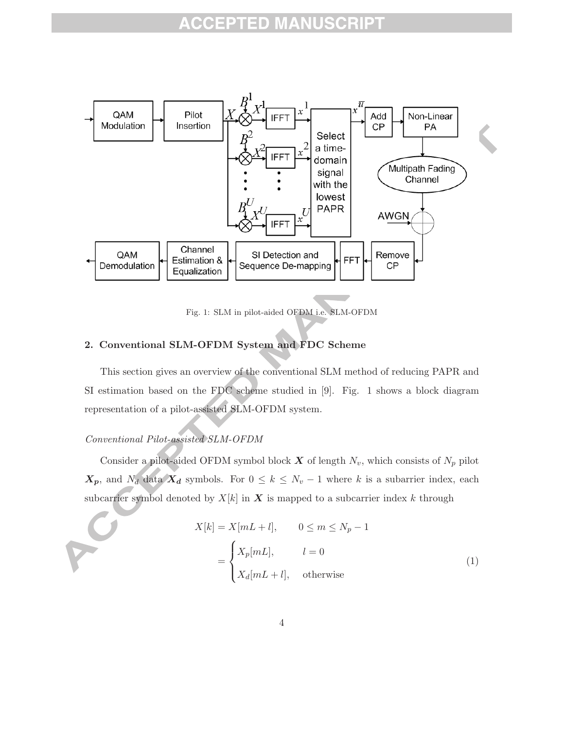

Fig. 1: SLM in pilot-aided OFDM i.e. SLM-OFDM

### **2. Conventional SLM-OFDM System and FDC Scheme**

This section gives an overview of the conventional SLM method of reducing PAPR and SI estimation based on the FDC scheme studied in [9]. Fig. 1 shows a block diagram representation of a pilot-assisted SLM-OFDM system.

### *Conventional Pilot-assisted SLM-OFDM*

Consider a pilot-aided OFDM symbol block  $\boldsymbol{X}$  of length  $N_v$ , which consists of  $N_p$  pilot  $X_p$ , and  $N_d$  data  $X_d$  symbols. For  $0 \leq k \leq N_v - 1$  where k is a subarrier index, each subcarrier symbol denoted by  $X[k]$  in  $X$  is mapped to a subcarrier index k through

$$
X[k] = X[mL + l], \qquad 0 \le m \le N_p - 1
$$

$$
= \begin{cases} X_p[mL], & l = 0 \\ X_d[mL + l], & \text{otherwise} \end{cases}
$$
(1)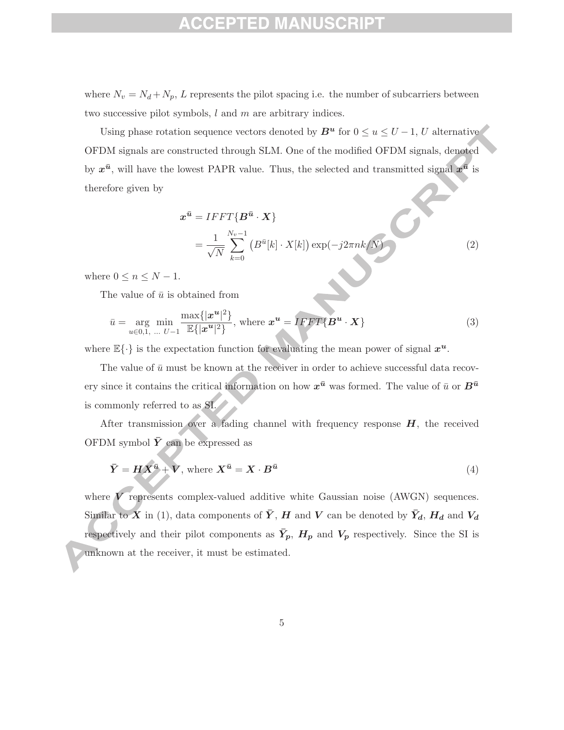### ED

where  $N_v = N_d + N_p$ , L represents the pilot spacing i.e. the number of subcarriers between two successive pilot symbols, l and m are arbitrary indices.

Using phase rotation sequence vectors denoted by  $B^u$  for  $0 \le u \le U-1$ , U alternative OFDM signals are constructed through SLM. One of the modified OFDM signals, denoted by  $x^{\bar{u}}$ , will have the lowest PAPR value. Thus, the selected and transmitted signal  $x^{\bar{u}}$  is therefore given by

$$
\mathbf{x}^{\bar{u}} = IFFT\{\mathbf{B}^{\bar{u}} \cdot \mathbf{X}\}
$$
  
= 
$$
\frac{1}{\sqrt{N}} \sum_{k=0}^{N_v - 1} \left( B^{\bar{u}}[k] \cdot X[k] \right) \exp(-j2\pi n k / N)
$$
 (2)

where  $0 \leq n \leq N-1$ .

The value of  $\bar{u}$  is obtained from

$$
\bar{u} = \underset{u \in 0,1, \dots, U-1}{\arg \min} \frac{\max\{|x^u|^2\}}{\mathbb{E}\{|x^u|^2\}}, \text{ where } \mathbf{x}^u = IFFT\{\mathbf{B}^u \cdot \mathbf{X}\} \tag{3}
$$

where  $\mathbb{E}\{\cdot\}$  is the expectation function for evaluating the mean power of signal  $x^u$ .

The value of  $\bar{u}$  must be known at the receiver in order to achieve successful data recovery since it contains the critical information on how  $x^{\bar{u}}$  was formed. The value of  $\bar{u}$  or  $B^{\bar{u}}$ is commonly referred to as SI.

After transmission over a fading channel with frequency response *H*, the received OFDM symbol  $\bar{Y}$  can be expressed as

$$
\bar{Y} = H X^{\bar{u}} + V, \text{ where } X^{\bar{u}} = X \cdot B^{\bar{u}} \tag{4}
$$

where *V* represents complex-valued additive white Gaussian noise (AWGN) sequences. Similar to X in (1), data components of  $\bar{Y}$ , H and V can be denoted by  $\bar{Y}_d$ , H<sub>d</sub> and  $V_d$ respectively and their pilot components as  $\bar{Y}_p$ ,  $H_p$  and  $V_p$  respectively. Since the SI is unknown at the receiver, it must be estimated.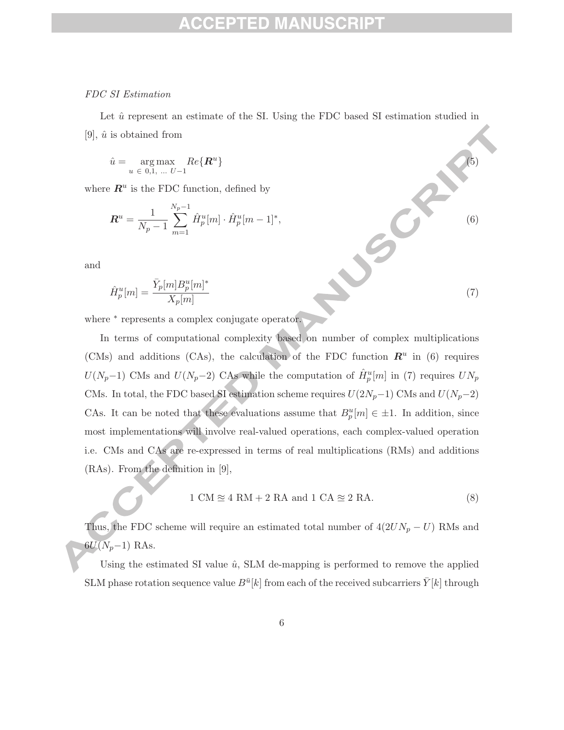### ED.

### *FDC SI Estimation*

Let  $\hat{u}$  represent an estimate of the SI. Using the FDC based SI estimation studied in [9],  $\hat{u}$  is obtained from

$$
\hat{u} = \underset{u \in [0,1], \ldots, U-1}{\arg \max} Re\{\mathbf{R}^u\} \tag{5}
$$

where  $\mathbb{R}^u$  is the FDC function, defined by

$$
\boldsymbol{R}^{u} = \frac{1}{N_p - 1} \sum_{m=1}^{N_p - 1} \hat{H}_p^{u}[m] \cdot \hat{H}_p^{u}[m-1]^*
$$

and

$$
\hat{H}_p^u[m] = \frac{\bar{Y}_p[m]B_p^u[m]^*}{X_p[m]}
$$
\n(7)

 $p$   $\alpha$  + 1 (6)

where  $*$  represents a complex conjugate operator.

In terms of computational complexity based on number of complex multiplications (CMs) and additions (CAs), the calculation of the FDC function  $\mathbb{R}^u$  in (6) requires  $U(N_p-1)$  CMs and  $U(N_p-2)$  CAs while the computation of  $\hat{H}_p^u[m]$  in (7) requires  $UN_p$ CMs. In total, the FDC based SI estimation scheme requires  $U(2N_p-1)$  CMs and  $U(N_p-2)$ CAs. It can be noted that these evaluations assume that  $B_p^u[m] \in \pm 1$ . In addition, since most implementations will involve real-valued operations, each complex-valued operation i.e. CMs and CAs are re-expressed in terms of real multiplications (RMs) and additions (RAs). From the definition in [9],

$$
1 CM \approx 4 RM + 2 RA and 1 CA \approx 2 RA.
$$
 (8)

Thus, the FDC scheme will require an estimated total number of  $4(2UN_p - U)$  RMs and  $6U(N_p-1)$  RAs.

Using the estimated SI value  $\hat{u}$ , SLM de-mapping is performed to remove the applied SLM phase rotation sequence value  $B^{\bar u}[k]$  from each of the received subcarriers  $\bar Y[k]$  through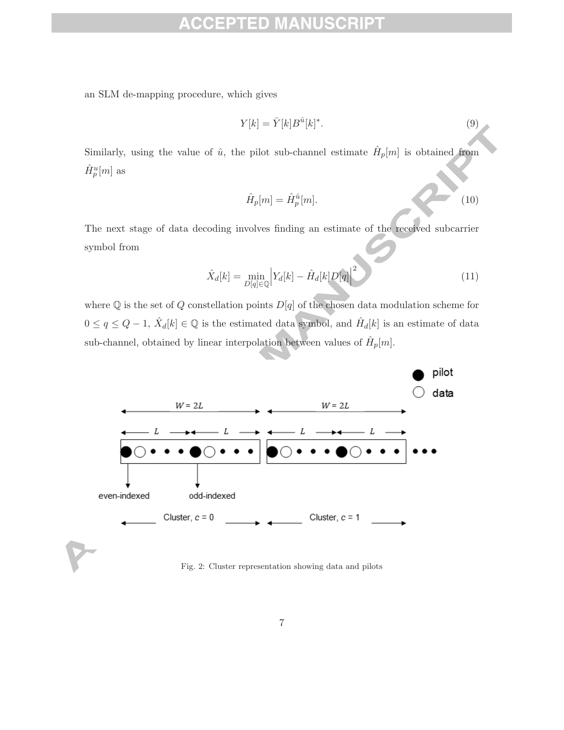#### CRIPT ID

an SLM de-mapping procedure, which gives

$$
Y[k] = \bar{Y}[k]B^{\hat{u}}[k]^*.
$$
\n(9)

Similarly, using the value of  $\hat{u}$ , the pilot sub-channel estimate  $\hat{H}_p[m]$  is obtained from  $\hat{H}^u_p[m]$  as

$$
\hat{H}_p[m] = \hat{H}_p^{\hat{u}}[m].\tag{10}
$$

The next stage of data decoding involves finding an estimate of the received subcarrier symbol from

$$
\hat{X}_d[k] = \min_{D[q] \in \mathbb{Q}} \left| Y_d[k] - \hat{H}_d[k]D[q] \right|^2 \tag{11}
$$

where  $\mathbb Q$  is the set of  $Q$  constellation points  $D[q]$  of the chosen data modulation scheme for  $0 \le q \le Q - 1$ ,  $\hat{X}_d[k] \in \mathbb{Q}$  is the estimated data symbol, and  $\hat{H}_d[k]$  is an estimate of data sub-channel, obtained by linear interpolation between values of  $\hat{H}_p[m]$ .



Fig. 2: Cluster representation showing data and pilots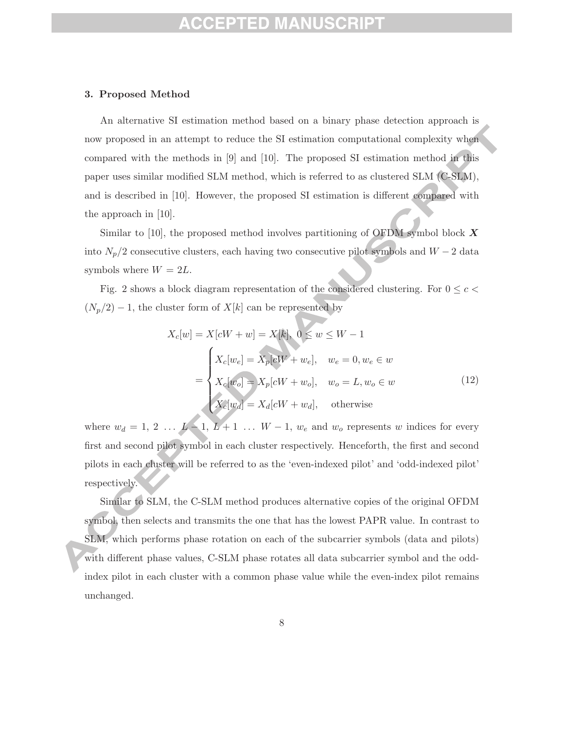# PTED MANII

#### **3. Proposed Method**

An alternative SI estimation method based on a binary phase detection approach is now proposed in an attempt to reduce the SI estimation computational complexity when compared with the methods in [9] and [10]. The proposed SI estimation method in this paper uses similar modified SLM method, which is referred to as clustered SLM (C-SLM), and is described in [10]. However, the proposed SI estimation is different compared with the approach in [10].

Similar to [10], the proposed method involves partitioning of OFDM symbol block *X* into  $N_p/2$  consecutive clusters, each having two consecutive pilot symbols and  $W - 2$  data symbols where  $W = 2L$ .

Fig. 2 shows a block diagram representation of the considered clustering. For  $0 \leq c$  $(N_p/2) - 1$ , the cluster form of  $X[k]$  can be represented by

$$
X_c[w] = X[cW + w] = X[k], 0 \le w \le W - 1
$$
  

$$
= \begin{cases} X_c[w_e] = X_p[cW + w_e], & w_e = 0, w_e \in w \\ X_c[w_o] = X_p[cW + w_o], & w_o = L, w_o \in w \\ X_c[w_d] = X_d[cW + w_d], & \text{otherwise} \end{cases}
$$
(12)

where  $w_d = 1, 2, \ldots, L-1, L+1, \ldots, W-1, w_e$  and  $w_o$  represents w indices for every first and second pilot symbol in each cluster respectively. Henceforth, the first and second pilots in each cluster will be referred to as the 'even-indexed pilot' and 'odd-indexed pilot' respectively.

Similar to SLM, the C-SLM method produces alternative copies of the original OFDM symbol, then selects and transmits the one that has the lowest PAPR value. In contrast to SLM, which performs phase rotation on each of the subcarrier symbols (data and pilots) with different phase values, C-SLM phase rotates all data subcarrier symbol and the oddindex pilot in each cluster with a common phase value while the even-index pilot remains unchanged.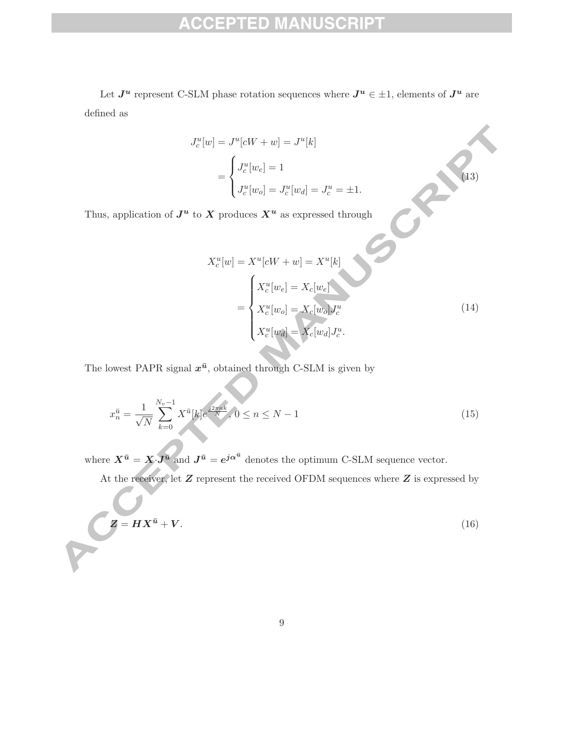#### **SCRIPT CCEPTED MANU**

Let  $J^u$  represent C-SLM phase rotation sequences where  $J^u \in \pm 1$ , elements of  $J^u$  are defined as

$$
J_c^u[w] = J^u[cW + w] = J^u[k]
$$
  
= 
$$
\begin{cases} J_c^u[w_e] = 1 \\ J_c^u[w_o] = J_c^u[w_d] = J_c^u = \pm 1. \end{cases}
$$

Thus, application of  $J^u$  to  $X$  produces  $X^u$  as expressed through

X<sup>u</sup>

$$
X_c^u[w] = X^u[cW + w] = X^u[k]
$$
  
= 
$$
\begin{cases} X_c^u[w_e] = X_c[w_e] \\ X_c^u[w_o] = X_c[w_o]J_c^u \\ X_c^u[w_d] = X_c[w_d]J_c^u. \end{cases}
$$
 (14)

 $\left\langle \right\rangle ^{(13)}$ 

The lowest PAPR signal  $x^{\bar{u}}$ , obtained through C-SLM is given by

$$
x_n^{\bar{u}} = \frac{1}{\sqrt{N}} \sum_{k=0}^{N_v - 1} X^{\bar{u}}[k] e^{\frac{j2\pi nk}{N}}, 0 \le n \le N - 1
$$
\n(15)

where  $X^{\bar{u}} = X \cdot J^{\bar{u}}$  and  $J^{\bar{u}} = e^{j\alpha^{\bar{u}}}$  denotes the optimum C-SLM sequence vector.

At the receiver, let *Z* represent the received OFDM sequences where *Z* is expressed by

$$
Z = H X^{\bar{u}} + V. \tag{16}
$$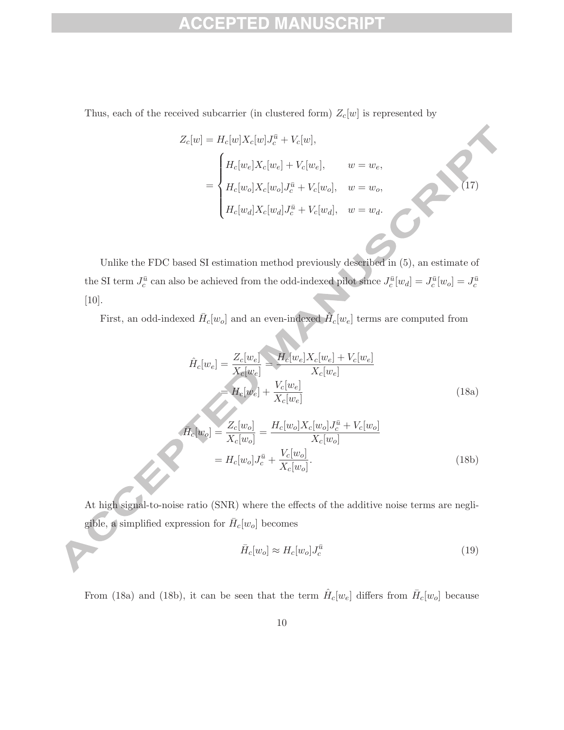#### **ISCRIPT** ACCEPTED MANU

Thus, each of the received subcarrier (in clustered form)  $Z_c[w]$  is represented by

$$
Z_c[w] = H_c[w]X_c[w]J_c^{\bar{u}} + V_c[w],
$$
  

$$
= \begin{cases} H_c[w_e]X_c[w_e] + V_c[w_e], & w = w_e, \\ H_c[w_o]X_c[w_o]J_c^{\bar{u}} + V_c[w_o], & w = w_o, \\ H_c[w_d]X_c[w_d]J_c^{\bar{u}} + V_c[w_d], & w = w_d. \end{cases}
$$

Unlike the FDC based SI estimation method previously described in (5), an estimate of the SI term  $J_c^{\bar{u}}$  can also be achieved from the odd-indexed pilot since  $J_c^{\bar{u}}[w_d] = J_c^{\bar{u}}[w_o] = J_c^{\bar{u}}$ [10].

First, an odd-indexed  $\bar{H}_c[w_o]$  and an even-indexed  $\tilde{H}_c[w_e]$  terms are computed from

$$
\hat{H}_c[w_e] = \frac{Z_c[w_e]}{X_c[w_e]} = \frac{H_c[w_e]X_c[w_e] + V_c[w_e]}{X_c[w_e]}
$$
\n
$$
= H_c[w_e] + \frac{V_c[w_e]}{X_c[w_e]}
$$
\n(18a)

 $\begin{pmatrix} 1 & 1 & 1 \\ 1 & 1 & 1 \\ 1 & 1 & 1 \end{pmatrix}$ 

$$
\overline{H}_c[w_o] = \frac{Z_c[w_o]}{X_c[w_o]} = \frac{H_c[w_o]X_c[w_o]J_c^{\overline{u}} + V_c[w_o]}{X_c[w_o]}
$$
\n
$$
= H_c[w_o]J_c^{\overline{u}} + \frac{V_c[w_o]}{X_c[w_o]}.
$$
\n(18b)

At high signal-to-noise ratio (SNR) where the effects of the additive noise terms are negligible, a simplified expression for  $\bar{H}_c[w_o]$  becomes

$$
\bar{H}_c[w_o] \approx H_c[w_o] J_c^{\bar{u}} \tag{19}
$$

From (18a) and (18b), it can be seen that the term  $\hat{H}_c[w_e]$  differs from  $\bar{H}_c[w_o]$  because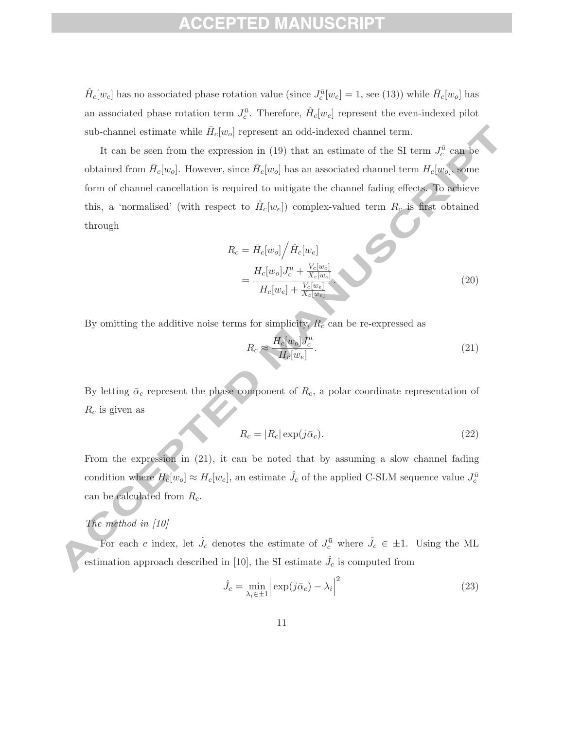### ED)

 $\hat{H}_c[w_e]$  has no associated phase rotation value (since  $J_c^{\bar{u}}[w_e] = 1$ , see (13)) while  $\bar{H}_c[w_o]$  has an associated phase rotation term  $J_c^{\bar{u}}$ . Therefore,  $\hat{H}_c[w_e]$  represent the even-indexed pilot sub-channel estimate while  $\bar{H}_c[w_o]$  represent an odd-indexed channel term.

It can be seen from the expression in (19) that an estimate of the SI term  $J_c^{\bar{u}}$  can be obtained from  $\bar{H}_c[w_o]$ . However, since  $\bar{H}_c[w_o]$  has an associated channel term  $H_c[w_o]$ , some form of channel cancellation is required to mitigate the channel fading effects. To achieve this, a 'normalised' (with respect to  $H_c[w_e]$ ) complex-valued term  $R_c$  is first obtained through

$$
R_c = \bar{H}_c[w_o] / \hat{H}_c[w_e]
$$
  
= 
$$
\frac{H_c[w_o]J_c^{\bar{u}} + \frac{V_c[w_o]}{X_c[w_o]}}{H_c[w_e] + \frac{V_c[w_e]}{X_c[w_e]}}
$$
 (20)

By omitting the additive noise terms for simplicity,  $R_c$  can be re-expressed as

$$
R_c \approx \frac{H_c[w_o]J_c^{\bar{u}}}{H_c[w_e]}.\tag{21}
$$

By letting  $\bar{\alpha}_c$  represent the phase component of  $R_c$ , a polar coordinate representation of  $R_c$  is given as

$$
R_c = |R_c| \exp(j\bar{\alpha}_c). \tag{22}
$$

From the expression in (21), it can be noted that by assuming a slow channel fading condition where  $H_c[w_o] \approx H_c[w_e]$ , an estimate  $\hat{J}_c$  of the applied C-SLM sequence value  $J_c^{\bar{u}}$ can be calculated from  $R_c$ .

### *The method in [10]*

For each c index, let  $\hat{J}_c$  denotes the estimate of  $J_c^{\bar{u}}$  where  $\hat{J}_c \in \pm 1$ . Using the ML estimation approach described in [10], the SI estimate  $\hat{J}_c$  is computed from

$$
\hat{J}_c = \min_{\lambda_i \in \pm 1} \left| \exp(j\bar{\alpha}_c) - \lambda_i \right|^2 \tag{23}
$$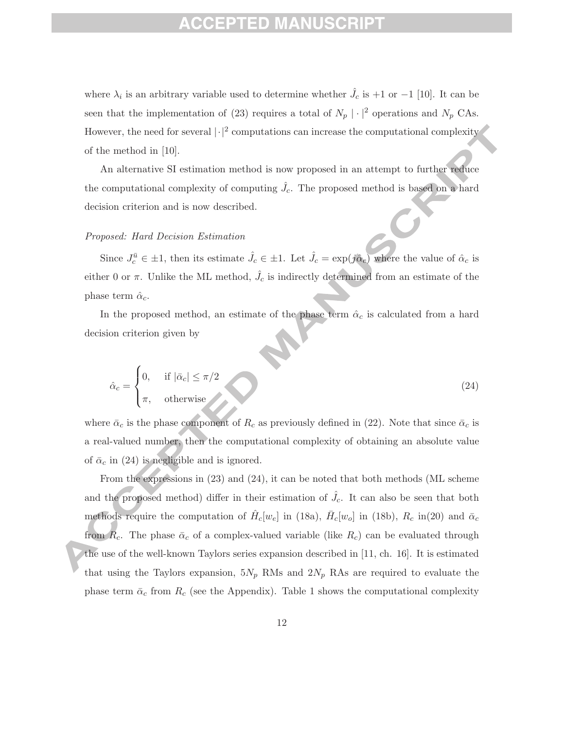### ED)

where  $\lambda_i$  is an arbitrary variable used to determine whether  $\hat{J}_c$  is +1 or -1 [10]. It can be seen that the implementation of (23) requires a total of  $N_p | \cdot |^2$  operations and  $N_p$  CAs. However, the need for several  $|\cdot|^2$  computations can increase the computational complexity of the method in [10].

An alternative SI estimation method is now proposed in an attempt to further reduce the computational complexity of computing  $\hat{J}_c$ . The proposed method is based on a hard decision criterion and is now described.

#### *Proposed: Hard Decision Estimation*

Since  $J_c^{\bar{u}} \in \pm 1$ , then its estimate  $\hat{J}_c \in \pm 1$ . Let  $\hat{J}_c = \exp(j\hat{\alpha}_c)$  where the value of  $\hat{\alpha}_c$  is either 0 or  $\pi$ . Unlike the ML method,  $\hat{J}_c$  is indirectly determined from an estimate of the phase term  $\hat{\alpha}_c$ .

In the proposed method, an estimate of the phase term  $\hat{\alpha}_c$  is calculated from a hard decision criterion given by

$$
\hat{\alpha}_c = \begin{cases} 0, & \text{if } |\bar{\alpha}_c| \le \pi/2 \\ \pi, & \text{otherwise} \end{cases} \tag{24}
$$

where  $\bar{\alpha}_c$  is the phase component of  $R_c$  as previously defined in (22). Note that since  $\bar{\alpha}_c$  is a real-valued number, then the computational complexity of obtaining an absolute value of  $\bar{\alpha}_c$  in (24) is negligible and is ignored.

From the expressions in (23) and (24), it can be noted that both methods (ML scheme and the proposed method) differ in their estimation of  $\hat{J}_c$ . It can also be seen that both methods require the computation of  $\hat{H}_c[w_e]$  in (18a),  $\bar{H}_c[w_o]$  in (18b),  $R_c$  in(20) and  $\bar{\alpha}_c$ from  $R_c$ . The phase  $\bar{\alpha}_c$  of a complex-valued variable (like  $R_c$ ) can be evaluated through the use of the well-known Taylors series expansion described in [11, ch. 16]. It is estimated that using the Taylors expansion,  $5N_p$  RMs and  $2N_p$  RAs are required to evaluate the phase term  $\bar{\alpha}_c$  from  $R_c$  (see the Appendix). Table 1 shows the computational complexity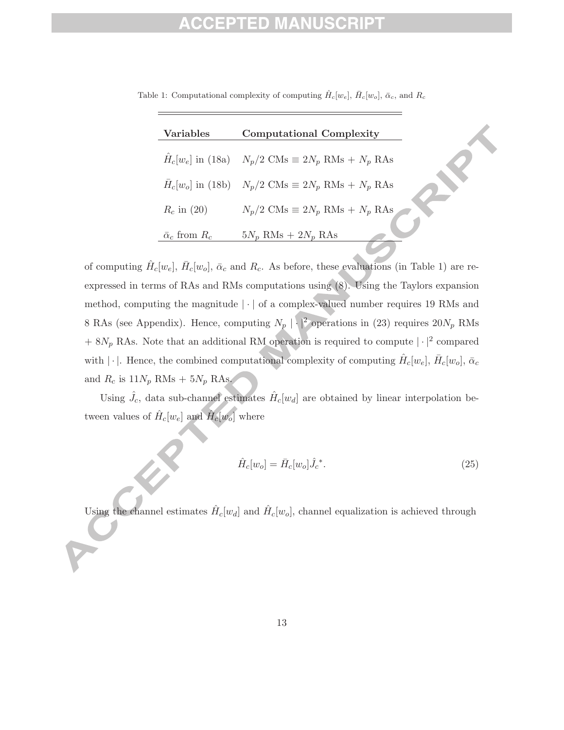### ID

| <b>Variables</b>            | <b>Computational Complexity</b>                                     |
|-----------------------------|---------------------------------------------------------------------|
|                             | $\hat{H}_c[w_e]$ in (18a) $N_p/2$ CMs $\equiv 2N_p$ RMs $+ N_p$ RAs |
|                             | $\bar{H}_c[w_o]$ in (18b) $N_p/2$ CMs $\equiv 2N_p$ RMs $+ N_p$ RAs |
| $R_c$ in (20)               | $N_p/2$ CMs $\equiv 2N_p$ RMs $+ N_p$ RAs                           |
| $\bar{\alpha}_c$ from $R_c$ | $5N_p$ RMs + $2N_p$ RAs                                             |

Table 1: Computational complexity of computing  $\hat{H}_c[w_e]$ ,  $\bar{H}_c[w_o]$ ,  $\bar{\alpha}_c$ , and  $R_c$ 

of computing  $\hat{H}_c[w_e], \bar{H}_c[w_o], \bar{\alpha}_c$  and  $R_c$ . As before, these evaluations (in Table 1) are reexpressed in terms of RAs and RMs computations using (8). Using the Taylors expansion method, computing the magnitude  $|\cdot|$  of a complex-valued number requires 19 RMs and 8 RAs (see Appendix). Hence, computing  $N_p \mid |\cdot|^2$  operations in (23) requires  $20N_p$  RMs  $+ 8N_p$  RAs. Note that an additional RM operation is required to compute  $|\cdot|^2$  compared with  $|\cdot|$ . Hence, the combined computational complexity of computing  $\hat{H}_c[w_e], \bar{H}_c[w_o], \bar{\alpha}_c$ and  $R_c$  is  $11N_p$  RMs +  $5N_p$  RAs.

Using  $\hat{J}_c$ , data sub-channel estimates  $\hat{H}_c[w_d]$  are obtained by linear interpolation between values of  $\hat{H}_c[w_e]$  and  $\hat{H}_c[w_o]$  where

$$
\hat{H}_c[w_o] = \bar{H}_c[w_o] \hat{J}_c^*.
$$
\n(25)

Using the channel estimates  $\hat{H}_c[w_d]$  and  $\hat{H}_c[w_o]$ , channel equalization is achieved through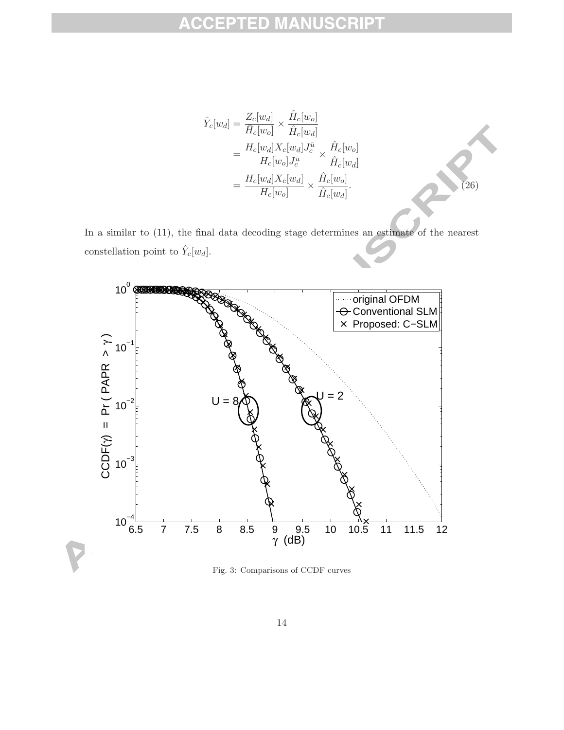$$
\hat{Y}_c[w_d] = \frac{Z_c[w_d]}{\bar{H}_c[w_o]} \times \frac{\hat{H}_c[w_o]}{\hat{H}_c[w_d]}
$$
\n
$$
= \frac{H_c[w_d]X_c[w_d]J_c^{\bar{u}}}{H_c[w_o]J_c^{\bar{u}}} \times \frac{\hat{H}_c[w_o]}{\hat{H}_c[w_d]}
$$
\n
$$
= \frac{H_c[w_d]X_c[w_d]}{H_c[w_o]} \times \frac{\hat{H}_c[w_o]}{\hat{H}_c[w_d]}.
$$
\n(26)

In a similar to (11), the final data decoding stage determines an estimate of the nearest constellation point to  $\hat{Y}_c[w_d].$ 



Fig. 3: Comparisons of CCDF curves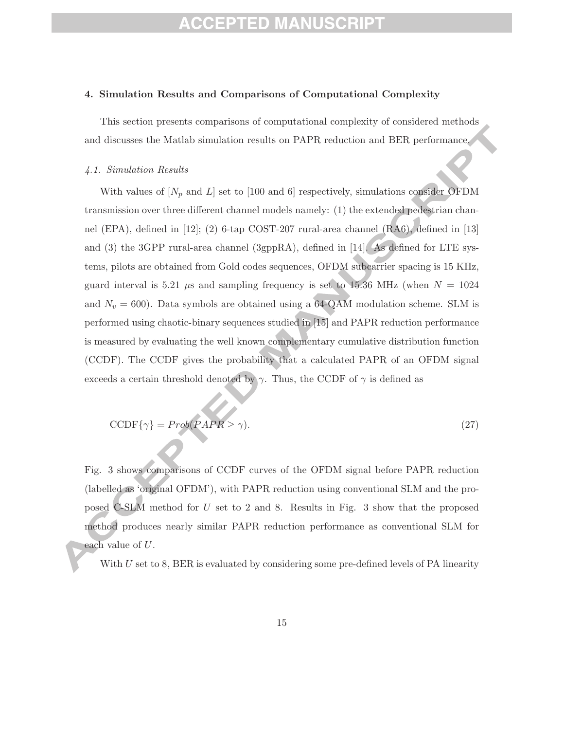# EPTED MANU

#### **4. Simulation Results and Comparisons of Computational Complexity**

This section presents comparisons of computational complexity of considered methods and discusses the Matlab simulation results on PAPR reduction and BER performance.

#### *4.1. Simulation Results*

With values of  $[N_p \text{ and } L]$  set to [100 and 6] respectively, simulations consider OFDM transmission over three different channel models namely: (1) the extended pedestrian channel (EPA), defined in [12]; (2) 6-tap COST-207 rural-area channel (RA6), defined in [13] and (3) the 3GPP rural-area channel (3gppRA), defined in [14]. As defined for LTE systems, pilots are obtained from Gold codes sequences, OFDM subcarrier spacing is 15 KHz, guard interval is 5.21  $\mu$ s and sampling frequency is set to 15.36 MHz (when  $N = 1024$ and  $N_v = 600$ ). Data symbols are obtained using a 64-QAM modulation scheme. SLM is performed using chaotic-binary sequences studied in [15] and PAPR reduction performance is measured by evaluating the well known complementary cumulative distribution function (CCDF). The CCDF gives the probability that a calculated PAPR of an OFDM signal exceeds a certain threshold denoted by  $\gamma$ . Thus, the CCDF of  $\gamma$  is defined as

$$
CCDF\{\gamma\} = Prob(PAPR \ge \gamma). \tag{27}
$$

Fig. 3 shows comparisons of CCDF curves of the OFDM signal before PAPR reduction (labelled as 'original OFDM'), with PAPR reduction using conventional SLM and the proposed C-SLM method for U set to 2 and 8. Results in Fig. 3 show that the proposed method produces nearly similar PAPR reduction performance as conventional SLM for each value of U.

With  $U$  set to 8, BER is evaluated by considering some pre-defined levels of PA linearity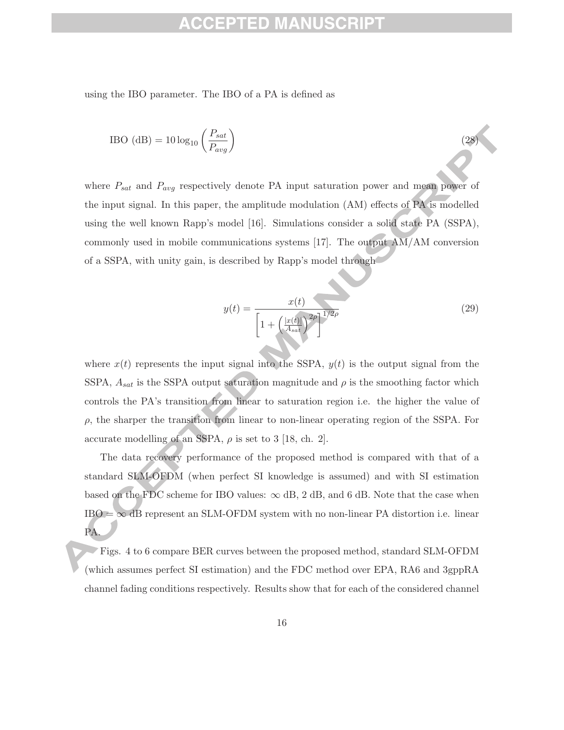### ED.

using the IBO parameter. The IBO of a PA is defined as

$$
IBO (dB) = 10 log10 \left(\frac{P_{sat}}{P_{avg}}\right)
$$
\n(28)

where  $P_{sat}$  and  $P_{avg}$  respectively denote PA input saturation power and mean power of the input signal. In this paper, the amplitude modulation (AM) effects of PA is modelled using the well known Rapp's model [16]. Simulations consider a solid state PA (SSPA), commonly used in mobile communications systems  $[17]$ . The output  $\overline{AM}/\overline{AM}$  conversion of a SSPA, with unity gain, is described by Rapp's model through

$$
y(t) = \frac{x(t)}{\left[1 + \left(\frac{|x(t)|}{A_{sat}}\right)^{2\rho}\right]^{1/2\rho}}
$$
(29)

where  $x(t)$  represents the input signal into the SSPA,  $y(t)$  is the output signal from the SSPA,  $A_{sat}$  is the SSPA output saturation magnitude and  $\rho$  is the smoothing factor which controls the PA's transition from linear to saturation region i.e. the higher the value of  $\rho$ , the sharper the transition from linear to non-linear operating region of the SSPA. For accurate modelling of an SSPA,  $\rho$  is set to 3 [18, ch. 2].

The data recovery performance of the proposed method is compared with that of a standard SLM-OFDM (when perfect SI knowledge is assumed) and with SI estimation based on the FDC scheme for IBO values:  $\infty$  dB, 2 dB, and 6 dB. Note that the case when  $IBO = \infty$  dB represent an SLM-OFDM system with no non-linear PA distortion i.e. linear PA.

Figs. 4 to 6 compare BER curves between the proposed method, standard SLM-OFDM (which assumes perfect SI estimation) and the FDC method over EPA, RA6 and 3gppRA channel fading conditions respectively. Results show that for each of the considered channel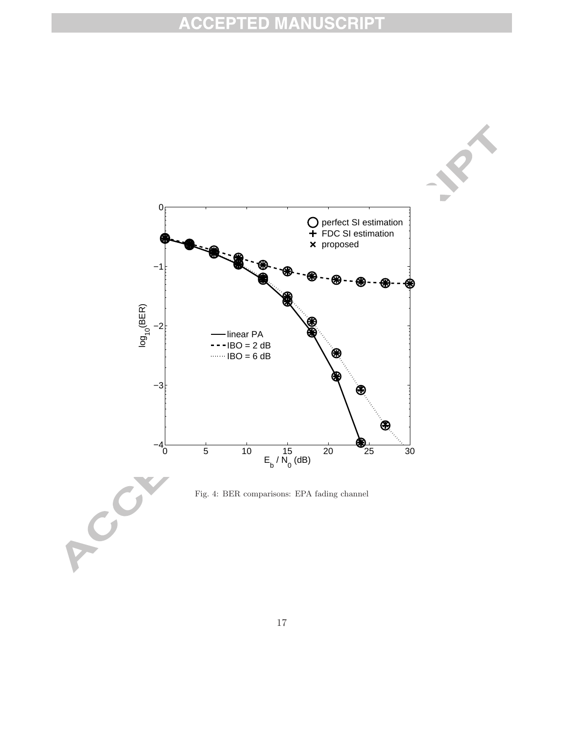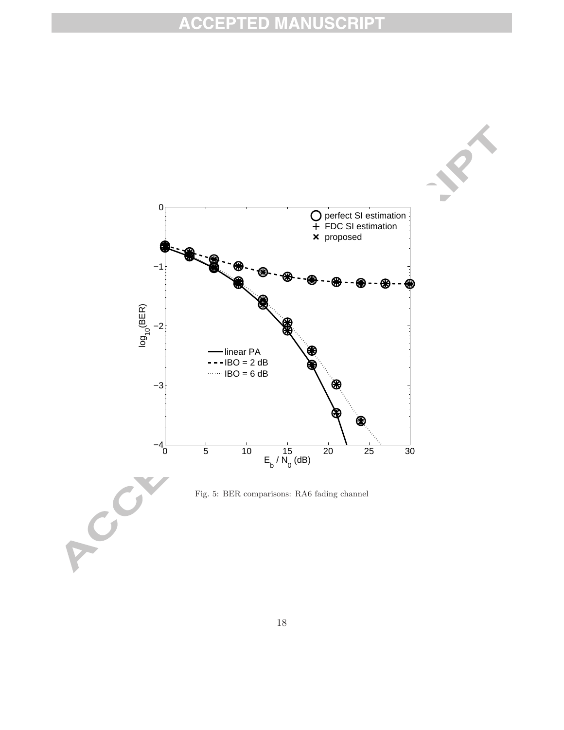

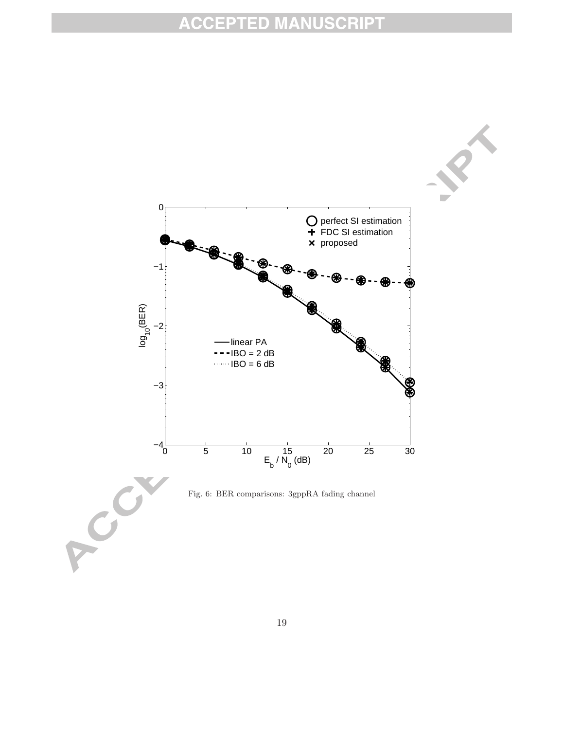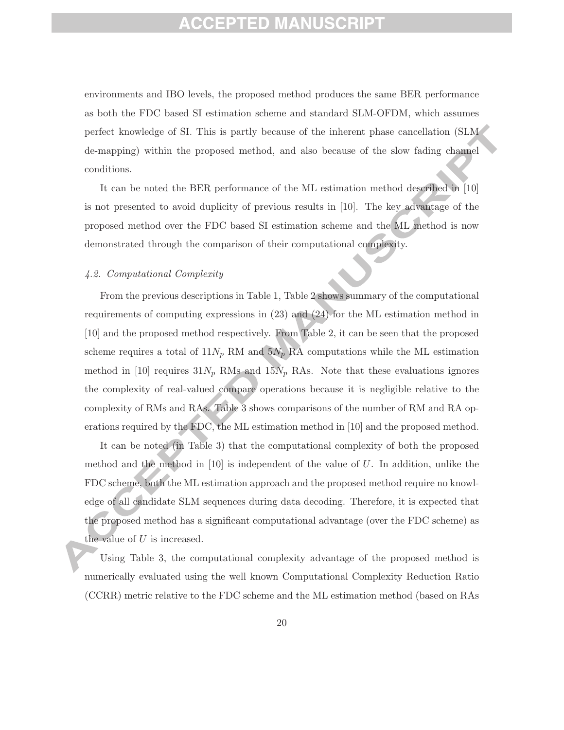### EPTED MANUS

environments and IBO levels, the proposed method produces the same BER performance as both the FDC based SI estimation scheme and standard SLM-OFDM, which assumes perfect knowledge of SI. This is partly because of the inherent phase cancellation (SLM de-mapping) within the proposed method, and also because of the slow fading channel conditions.

It can be noted the BER performance of the ML estimation method described in [10] is not presented to avoid duplicity of previous results in [10]. The key advantage of the proposed method over the FDC based SI estimation scheme and the ML method is now demonstrated through the comparison of their computational complexity.

### *4.2. Computational Complexity*

From the previous descriptions in Table 1, Table 2 shows summary of the computational requirements of computing expressions in (23) and (24) for the ML estimation method in [10] and the proposed method respectively. From Table 2, it can be seen that the proposed scheme requires a total of  $11N_p$  RM and  $5N_p$  RA computations while the ML estimation method in [10] requires  $31N_p$  RMs and  $15N_p$  RAs. Note that these evaluations ignores the complexity of real-valued compare operations because it is negligible relative to the complexity of RMs and RAs. Table 3 shows comparisons of the number of RM and RA operations required by the FDC, the ML estimation method in [10] and the proposed method.

It can be noted (in Table 3) that the computational complexity of both the proposed method and the method in  $[10]$  is independent of the value of U. In addition, unlike the FDC scheme, both the ML estimation approach and the proposed method require no knowledge of all candidate SLM sequences during data decoding. Therefore, it is expected that the proposed method has a significant computational advantage (over the FDC scheme) as the value of U is increased.

Using Table 3, the computational complexity advantage of the proposed method is numerically evaluated using the well known Computational Complexity Reduction Ratio (CCRR) metric relative to the FDC scheme and the ML estimation method (based on RAs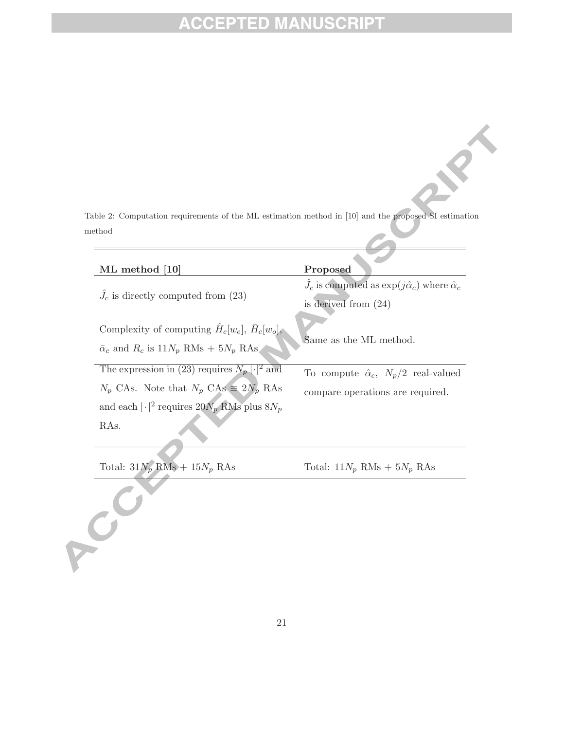Table 2: Computation requirements of the ML estimation method in [10] and the proposed SI estimation method

| ML method [10]                                                 | Proposed                                                                                            |  |
|----------------------------------------------------------------|-----------------------------------------------------------------------------------------------------|--|
| $J_c$ is directly computed from (23)                           | $\hat{J}_c$ is computed as $\exp(j\hat{\alpha}_c)$ where $\hat{\alpha}_c$<br>is derived from $(24)$ |  |
| Complexity of computing $\hat{H}_c[w_e], \overline{H}_c[w_o],$ |                                                                                                     |  |
| $\bar{\alpha}_c$ and $R_c$ is $11N_p$ RMs + $5N_p$ RAs.        | Same as the ML method.                                                                              |  |
| The expression in (23) requires $N_p  \cdot ^2$ and            | To compute $\hat{\alpha}_c$ , $N_p/2$ real-valued                                                   |  |
| $N_p$ CAs. Note that $N_p$ CAs $\equiv 2N_p$ RAs               | compare operations are required.                                                                    |  |
| and each $ \cdot ^2$ requires $20N_p$ RMs plus $8N_p$          |                                                                                                     |  |
| RA <sub>s</sub> .                                              |                                                                                                     |  |
|                                                                |                                                                                                     |  |

Total:  $31N_p$  RMs +  $15N_p$  RAs Total:  $11N_p$  RMs +  $5N_p$  RAs

CO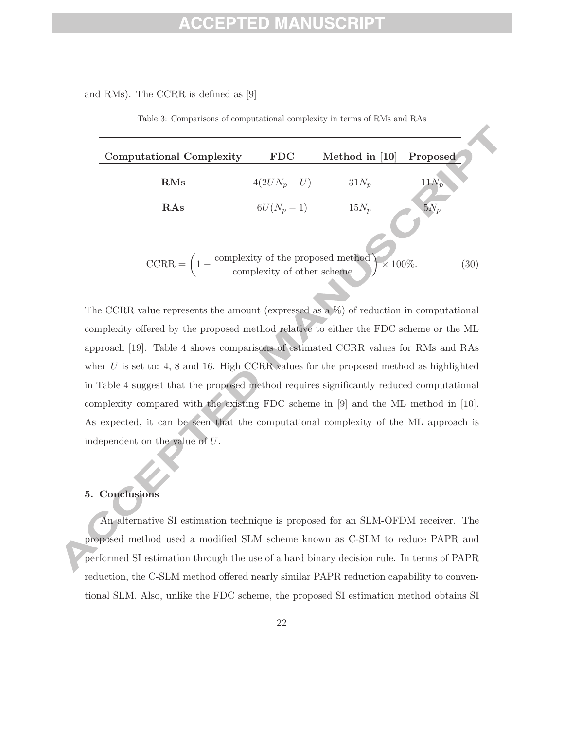### PTED MANU

### and RMs). The CCRR is defined as [9]

| <b>Computational Complexity</b>                                                                              | <b>FDC</b>     | Method in [10]  | Proposed     |
|--------------------------------------------------------------------------------------------------------------|----------------|-----------------|--------------|
| $\rm RMS$                                                                                                    | $4(2UN_p - U)$ | $31N_p$         | $11N_p$      |
| RAs                                                                                                          | $6U(N_p-1)$    | $15N_n$         | $5N_n$       |
|                                                                                                              |                |                 |              |
| $CCRR = \left(1 - \frac{\text{complexity of the proposed method}}{\text{complexity of other scheme}}\right)$ |                | $\times 100\%.$ | $30^{\circ}$ |

Table 3: Comparisons of computational complexity in terms of RMs and RAs

The CCRR value represents the amount (expressed as a %) of reduction in computational complexity offered by the proposed method relative to either the FDC scheme or the ML approach [19]. Table 4 shows comparisons of estimated CCRR values for RMs and RAs when  $U$  is set to: 4, 8 and 16. High CCRR values for the proposed method as highlighted in Table 4 suggest that the proposed method requires significantly reduced computational complexity compared with the existing FDC scheme in [9] and the ML method in [10]. As expected, it can be seen that the computational complexity of the ML approach is independent on the value of U.

### **5. Conclusions**

An alternative SI estimation technique is proposed for an SLM-OFDM receiver. The proposed method used a modified SLM scheme known as C-SLM to reduce PAPR and performed SI estimation through the use of a hard binary decision rule. In terms of PAPR reduction, the C-SLM method offered nearly similar PAPR reduction capability to conventional SLM. Also, unlike the FDC scheme, the proposed SI estimation method obtains SI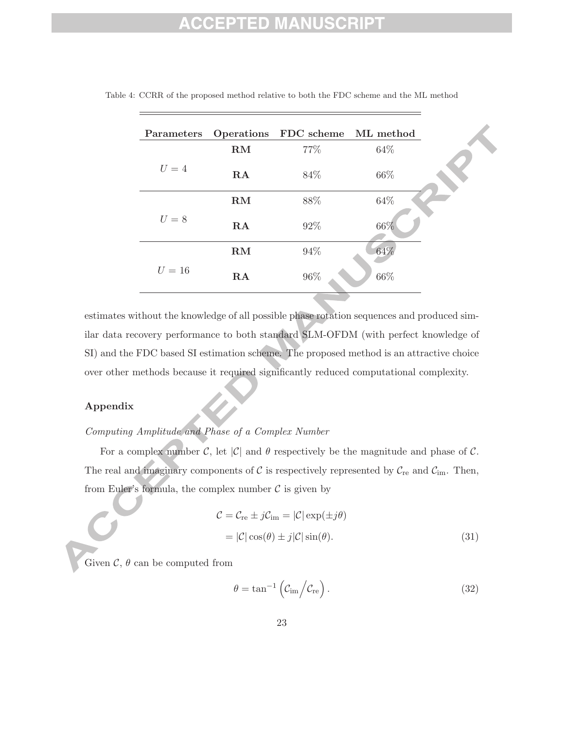# 1 D

| Parameters |    | Operations FDC scheme ML method |        |
|------------|----|---------------------------------|--------|
| $U=4$      | RM | 77%                             | 64\%   |
|            | RA | 84\%                            | 66\%   |
|            | RM | $88\%$                          | $64\%$ |
| $U=8$      | RA | 92%                             | 66%    |
| $U=16$     | RM | $94\%$                          | 64%    |
|            | RA | $96\%$                          | $66\%$ |

Table 4: CCRR of the proposed method relative to both the FDC scheme and the ML method

estimates without the knowledge of all possible phase rotation sequences and produced similar data recovery performance to both standard SLM-OFDM (with perfect knowledge of SI) and the FDC based SI estimation scheme. The proposed method is an attractive choice over other methods because it required significantly reduced computational complexity.

### **Appendix**

### *Computing Amplitude and Phase of a Complex Number*

For a complex number C, let  $|\mathcal{C}|$  and  $\theta$  respectively be the magnitude and phase of C. The real and imaginary components of  $C$  is respectively represented by  $C_{\text{re}}$  and  $C_{\text{im}}$ . Then, from Euler's formula, the complex number  $\mathcal C$  is given by

$$
\mathcal{C} = \mathcal{C}_{\text{re}} \pm j\mathcal{C}_{\text{im}} = |\mathcal{C}| \exp(\pm j\theta)
$$

$$
= |\mathcal{C}| \cos(\theta) \pm j|\mathcal{C}| \sin(\theta). \tag{31}
$$

Given  $\mathcal{C}, \theta$  can be computed from

$$
\theta = \tan^{-1} \left( C_{\rm im} / C_{\rm re} \right). \tag{32}
$$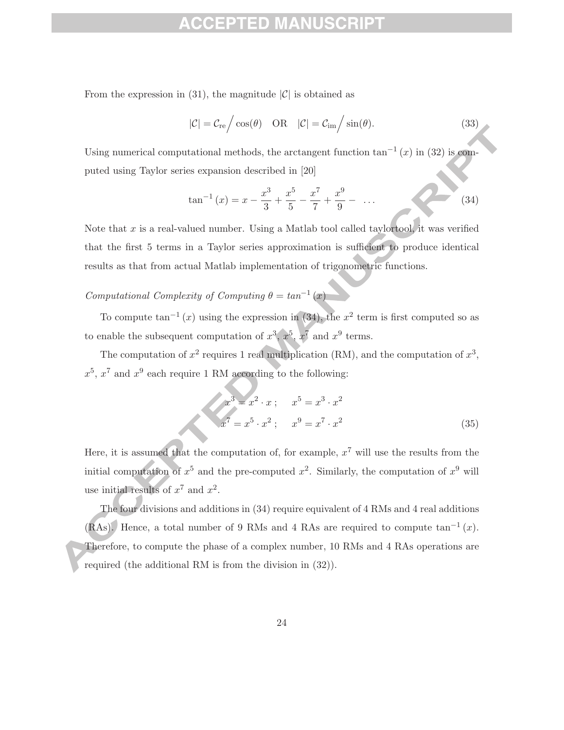From the expression in (31), the magnitude  $|\mathcal{C}|$  is obtained as

$$
|\mathcal{C}| = \mathcal{C}_{\rm re} / \cos(\theta) \quad \text{OR} \quad |\mathcal{C}| = \mathcal{C}_{\rm im} / \sin(\theta). \tag{33}
$$

Using numerical computational methods, the arctangent function  $tan^{-1}(x)$  in (32) is computed using Taylor series expansion described in [20]

$$
\tan^{-1}(x) = x - \frac{x^3}{3} + \frac{x^5}{5} - \frac{x^7}{7} + \frac{x^9}{9} - \dots
$$
 (34)

Note that  $x$  is a real-valued number. Using a Matlab tool called taylortool, it was verified that the first 5 terms in a Taylor series approximation is sufficient to produce identical results as that from actual Matlab implementation of trigonometric functions.

*Computational Complexity of Computing*  $\theta = \tan^{-1}(x)$ 

To compute tan<sup>-1</sup> (x) using the expression in (34), the  $x^2$  term is first computed so as to enable the subsequent computation of  $x^3$ ,  $x^5$ ,  $x^7$  and  $x^9$  terms.

The computation of  $x^2$  requires 1 real multiplication (RM), and the computation of  $x^3$ ,  $x^5, x^7$  and  $x^9$  each require 1 RM according to the following:

$$
x3 = x2 \cdot x ; \t x5 = x3 \cdot x2
$$
  

$$
x7 = x5 \cdot x2 ; \t x9 = x7 \cdot x2
$$
 (35)

Here, it is assumed that the computation of, for example,  $x^7$  will use the results from the initial computation of  $x^5$  and the pre-computed  $x^2$ . Similarly, the computation of  $x^9$  will use initial results of  $x^7$  and  $x^2$ .

The four divisions and additions in (34) require equivalent of 4 RMs and 4 real additions (RAs). Hence, a total number of 9 RMs and 4 RAs are required to compute  $\tan^{-1}(x)$ . Therefore, to compute the phase of a complex number, 10 RMs and 4 RAs operations are required (the additional RM is from the division in (32)).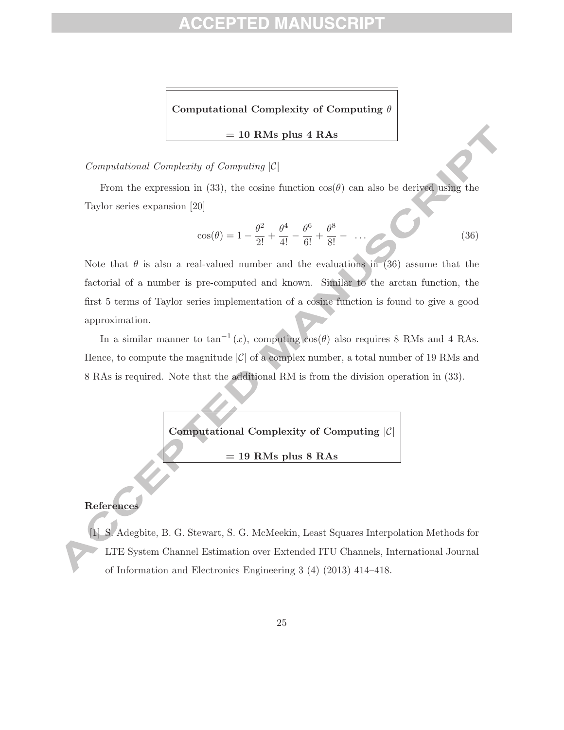# ID

**Computational Complexity of Computing** θ

**= 10 RMs plus 4 RAs**

### *Computational Complexity of Computing* |C|

From the expression in (33), the cosine function  $cos(\theta)$  can also be derived using the Taylor series expansion [20]

$$
\cos(\theta) = 1 - \frac{\theta^2}{2!} + \frac{\theta^4}{4!} - \frac{\theta^6}{6!} + \frac{\theta^8}{8!} - \dots \tag{36}
$$

Note that  $\theta$  is also a real-valued number and the evaluations in (36) assume that the factorial of a number is pre-computed and known. Similar to the arctan function, the first 5 terms of Taylor series implementation of a cosine function is found to give a good approximation.

In a similar manner to  $\tan^{-1}(x)$ , computing  $\cos(\theta)$  also requires 8 RMs and 4 RAs. Hence, to compute the magnitude  $|\mathcal{C}|$  of a complex number, a total number of 19 RMs and 8 RAs is required. Note that the additional RM is from the division operation in (33).



### **References**

[1] S. Adegbite, B. G. Stewart, S. G. McMeekin, Least Squares Interpolation Methods for LTE System Channel Estimation over Extended ITU Channels, International Journal of Information and Electronics Engineering 3 (4) (2013) 414–418.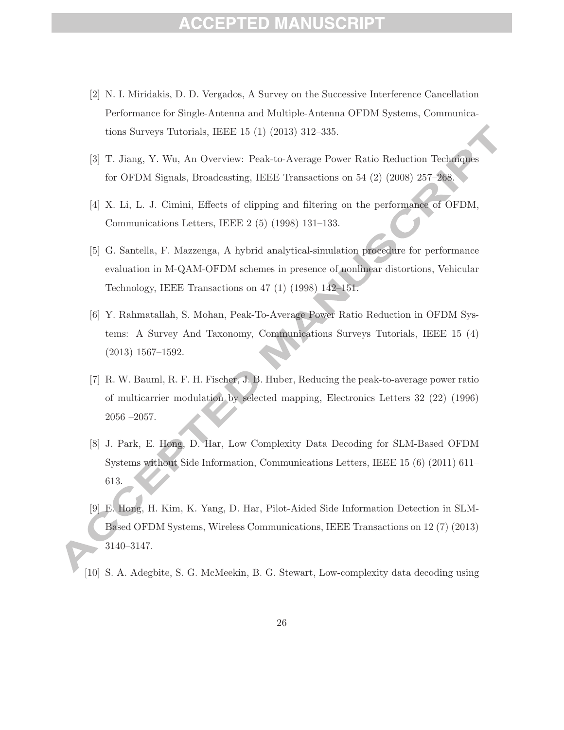# ED.

- [2] N. I. Miridakis, D. D. Vergados, A Survey on the Successive Interference Cancellation Performance for Single-Antenna and Multiple-Antenna OFDM Systems, Communications Surveys Tutorials, IEEE 15 (1) (2013) 312–335.
- [3] T. Jiang, Y. Wu, An Overview: Peak-to-Average Power Ratio Reduction Techniques for OFDM Signals, Broadcasting, IEEE Transactions on 54 (2) (2008) 257–268.
- [4] X. Li, L. J. Cimini, Effects of clipping and filtering on the performance of OFDM, Communications Letters, IEEE 2 (5) (1998) 131–133.
- [5] G. Santella, F. Mazzenga, A hybrid analytical-simulation procedure for performance evaluation in M-QAM-OFDM schemes in presence of nonlinear distortions, Vehicular Technology, IEEE Transactions on 47 (1) (1998) 142–151.
- [6] Y. Rahmatallah, S. Mohan, Peak-To-Average Power Ratio Reduction in OFDM Systems: A Survey And Taxonomy, Communications Surveys Tutorials, IEEE 15 (4) (2013) 1567–1592.
- [7] R. W. Bauml, R. F. H. Fischer, J. B. Huber, Reducing the peak-to-average power ratio of multicarrier modulation by selected mapping, Electronics Letters 32 (22) (1996) 2056 –2057.
- [8] J. Park, E. Hong, D. Har, Low Complexity Data Decoding for SLM-Based OFDM Systems without Side Information, Communications Letters, IEEE 15 (6) (2011) 611– 613.
- [9] E. Hong, H. Kim, K. Yang, D. Har, Pilot-Aided Side Information Detection in SLM-Based OFDM Systems, Wireless Communications, IEEE Transactions on 12 (7) (2013) 3140–3147.
- [10] S. A. Adegbite, S. G. McMeekin, B. G. Stewart, Low-complexity data decoding using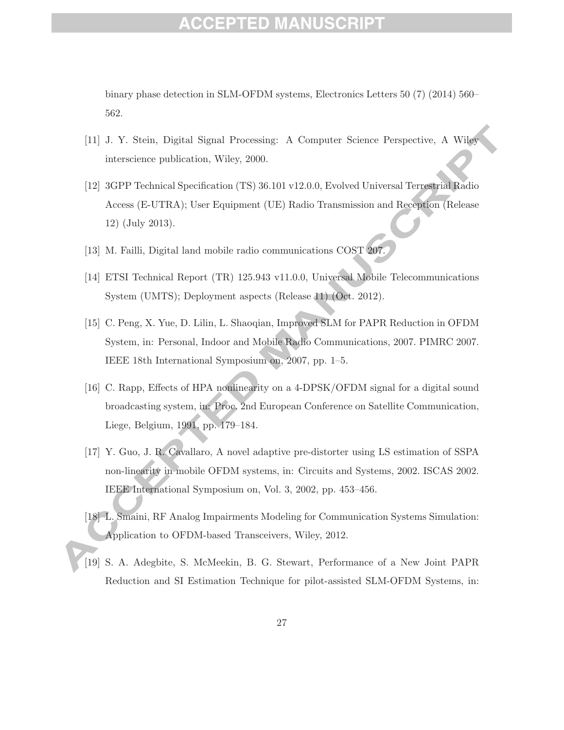### ED)

binary phase detection in SLM-OFDM systems, Electronics Letters 50 (7) (2014) 560– 562.

- [11] J. Y. Stein, Digital Signal Processing: A Computer Science Perspective, A Wiley interscience publication, Wiley, 2000.
- [12] 3GPP Technical Specification (TS) 36.101 v12.0.0, Evolved Universal Terrestrial Radio Access (E-UTRA); User Equipment (UE) Radio Transmission and Reception (Release 12) (July 2013).
- [13] M. Failli, Digital land mobile radio communications COST  $207$ .
- [14] ETSI Technical Report (TR) 125.943 v11.0.0, Universal Mobile Telecommunications System (UMTS); Deployment aspects (Release 11) (Oct. 2012).
- [15] C. Peng, X. Yue, D. Lilin, L. Shaoqian, Improved SLM for PAPR Reduction in OFDM System, in: Personal, Indoor and Mobile Radio Communications, 2007. PIMRC 2007. IEEE 18th International Symposium on, 2007, pp. 1–5.
- [16] C. Rapp, Effects of HPA nonlinearity on a 4-DPSK/OFDM signal for a digital sound broadcasting system, in: Proc. 2nd European Conference on Satellite Communication, Liege, Belgium, 1991, pp. 179–184.
- [17] Y. Guo, J. R. Cavallaro, A novel adaptive pre-distorter using LS estimation of SSPA non-linearity in mobile OFDM systems, in: Circuits and Systems, 2002. ISCAS 2002. IEEE International Symposium on, Vol. 3, 2002, pp. 453–456.
- [18] L. Smaini, RF Analog Impairments Modeling for Communication Systems Simulation: Application to OFDM-based Transceivers, Wiley, 2012.
- [19] S. A. Adegbite, S. McMeekin, B. G. Stewart, Performance of a New Joint PAPR Reduction and SI Estimation Technique for pilot-assisted SLM-OFDM Systems, in: